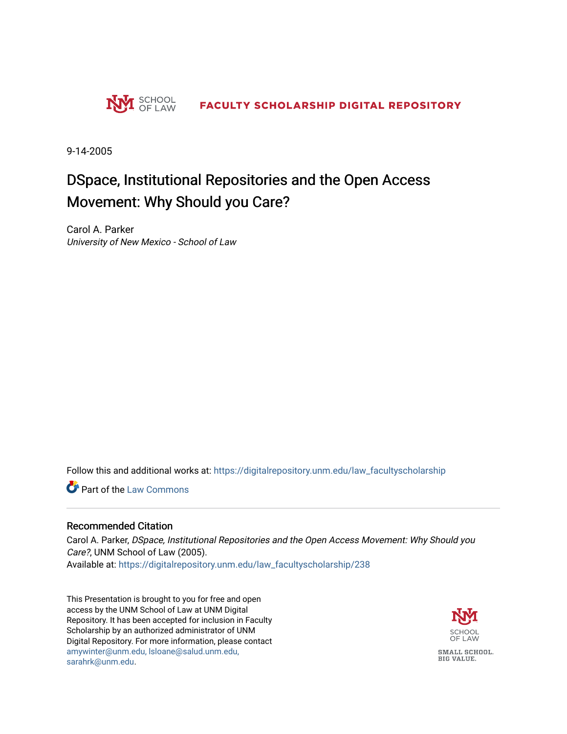

9-14-2005

#### DSpace, Institutional Repositories and the Open Access Movement: Why Should you Care?

Carol A. Parker University of New Mexico - School of Law

Follow this and additional works at: [https://digitalrepository.unm.edu/law\\_facultyscholarship](https://digitalrepository.unm.edu/law_facultyscholarship?utm_source=digitalrepository.unm.edu%2Flaw_facultyscholarship%2F238&utm_medium=PDF&utm_campaign=PDFCoverPages) 

**Part of the [Law Commons](http://network.bepress.com/hgg/discipline/578?utm_source=digitalrepository.unm.edu%2Flaw_facultyscholarship%2F238&utm_medium=PDF&utm_campaign=PDFCoverPages)** 

#### Recommended Citation

Carol A. Parker, DSpace, Institutional Repositories and the Open Access Movement: Why Should you Care?, UNM School of Law (2005). Available at: [https://digitalrepository.unm.edu/law\\_facultyscholarship/238](https://digitalrepository.unm.edu/law_facultyscholarship/238?utm_source=digitalrepository.unm.edu%2Flaw_facultyscholarship%2F238&utm_medium=PDF&utm_campaign=PDFCoverPages) 

This Presentation is brought to you for free and open access by the UNM School of Law at UNM Digital Repository. It has been accepted for inclusion in Faculty Scholarship by an authorized administrator of UNM Digital Repository. For more information, please contact [amywinter@unm.edu, lsloane@salud.unm.edu,](mailto:amywinter@unm.edu,%20lsloane@salud.unm.edu,%20sarahrk@unm.edu)  [sarahrk@unm.edu.](mailto:amywinter@unm.edu,%20lsloane@salud.unm.edu,%20sarahrk@unm.edu)

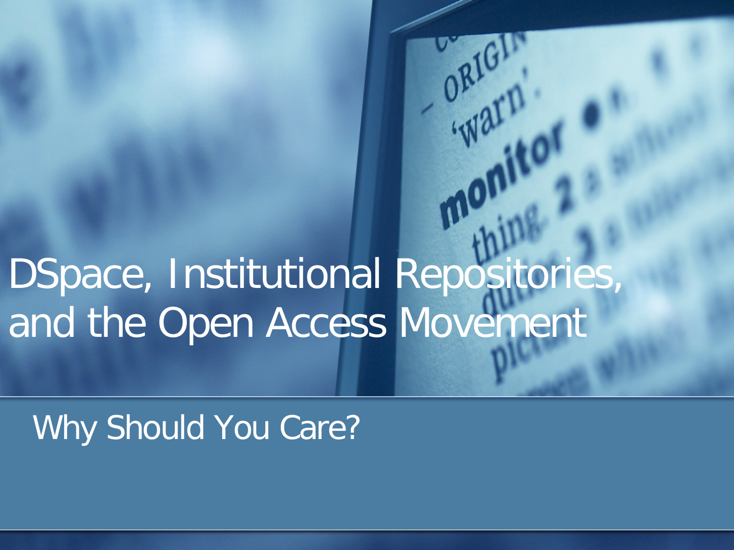# DSpace, Institutional Repositories, and the Open Access Movement

ORIGAT

Why Should You Care?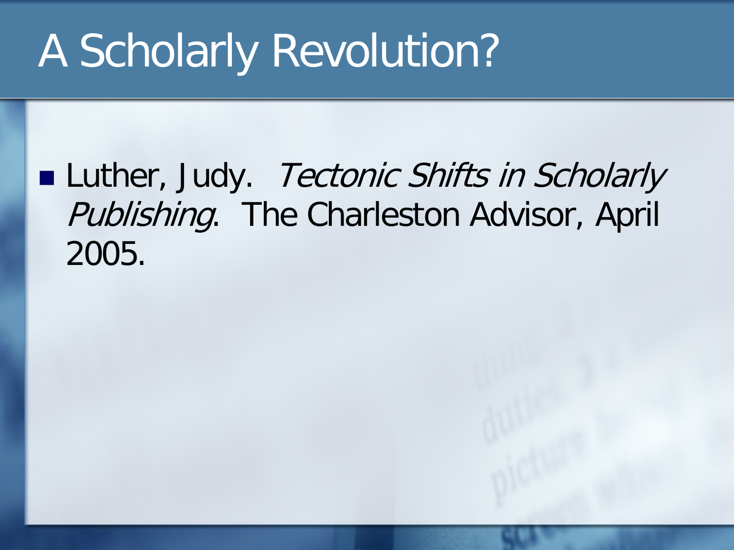### **Luther, Judy.** Tectonic Shifts in Scholarly Publishing. The Charleston Advisor, April 2005.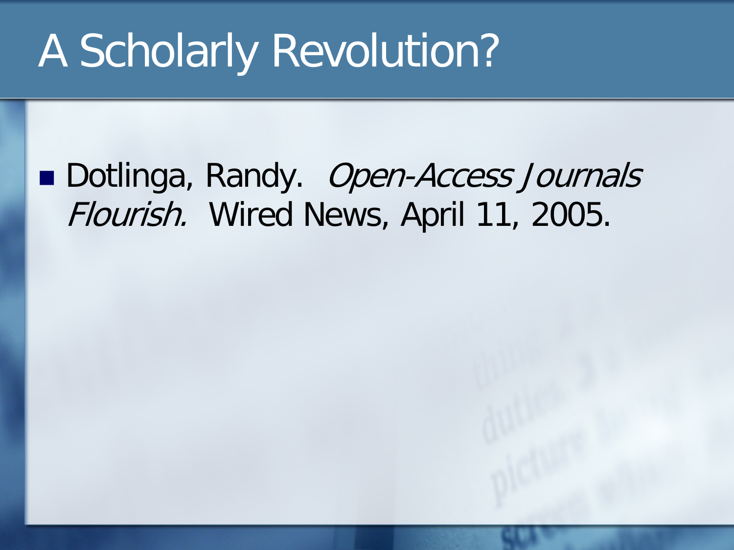### ■ Dotlinga, Randy. *Open-Access Journals* Flourish. Wired News, April 11, 2005.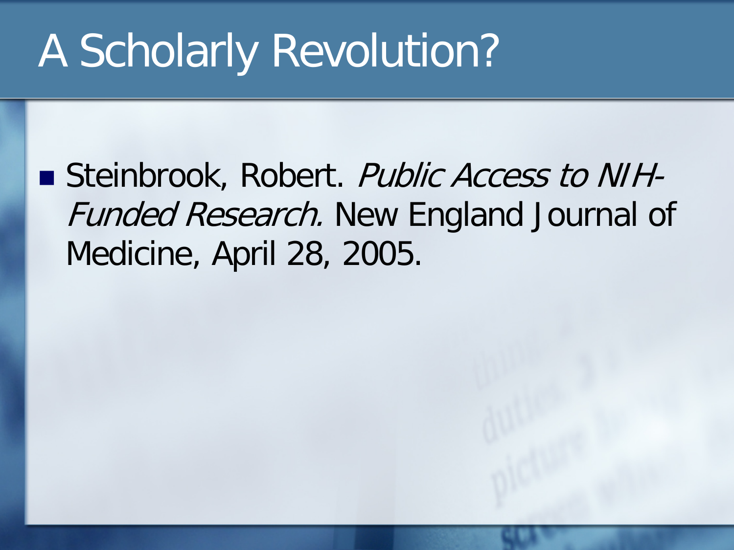Steinbrook, Robert. Public Access to NIH-Funded Research. New England Journal of Medicine, April 28, 2005.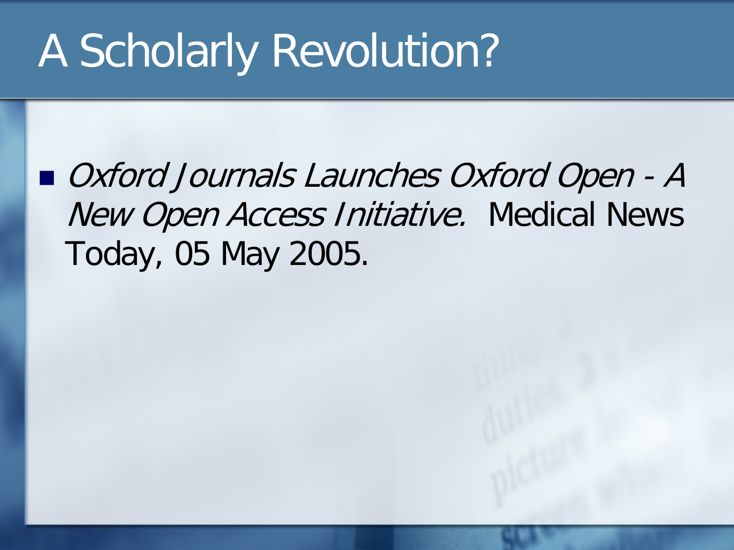■ *Oxford Journals Launches Oxford Open - A* New Open Access Initiative. Medical News Today, 05 May 2005.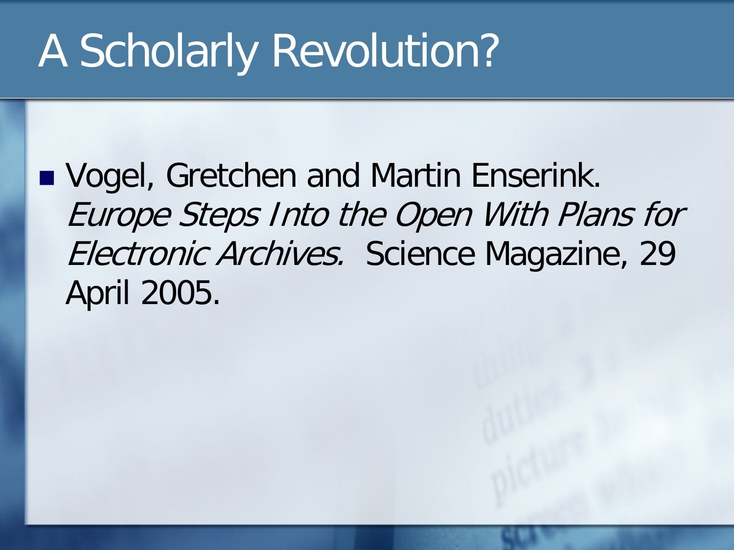■ Vogel, Gretchen and Martin Enserink. Europe Steps Into the Open With Plans for Electronic Archives. Science Magazine, 29 April 2005.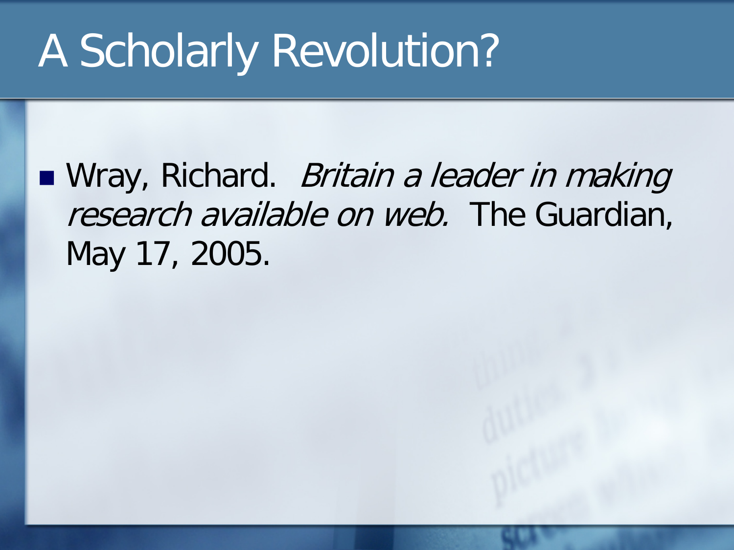■ Wray, Richard. *Britain a leader in making* research available on web. The Guardian, May 17, 2005.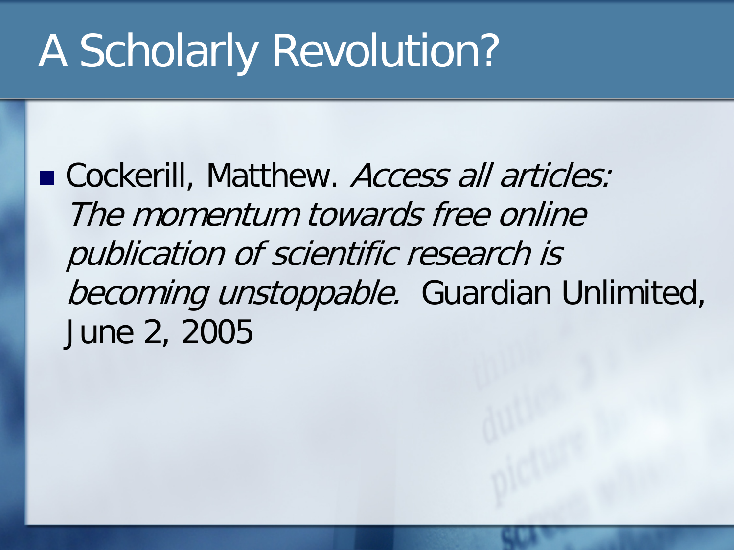■ Cockerill, Matthew. Access all articles: The momentum towards free online publication of scientific research is becoming unstoppable. Guardian Unlimited, June 2, 2005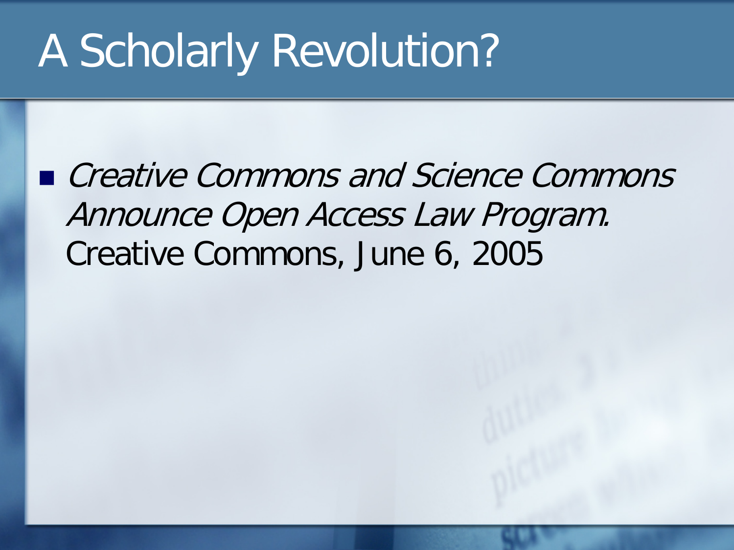■ *Creative Commons and Science Commons* Announce Open Access Law Program. Creative Commons, June 6, 2005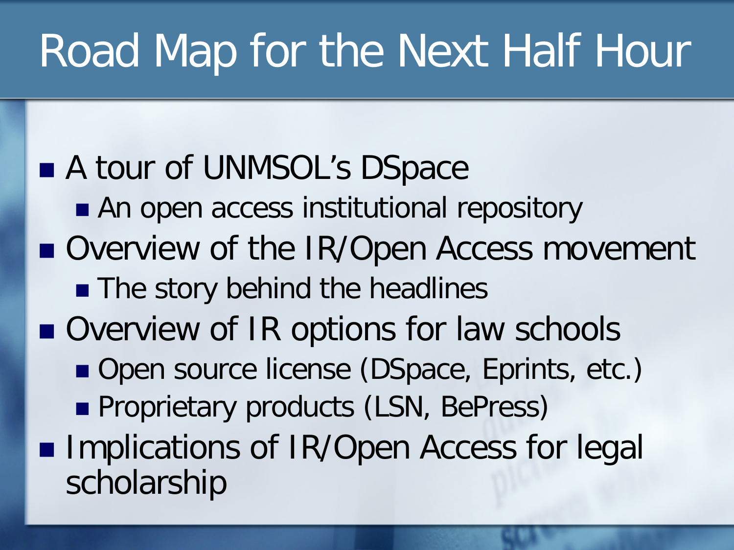# Road Map for the Next Half Hour

#### A tour of UNMSOL's DSpace An open access institutional repository

- Overview of the IR/Open Access movement
	- **The story behind the headlines**
- Overview of IR options for law schools
	- Open source license (DSpace, Eprints, etc.)
	- **Proprietary products (LSN, BePress)**
- **Implications of IR/Open Access for legal** scholarship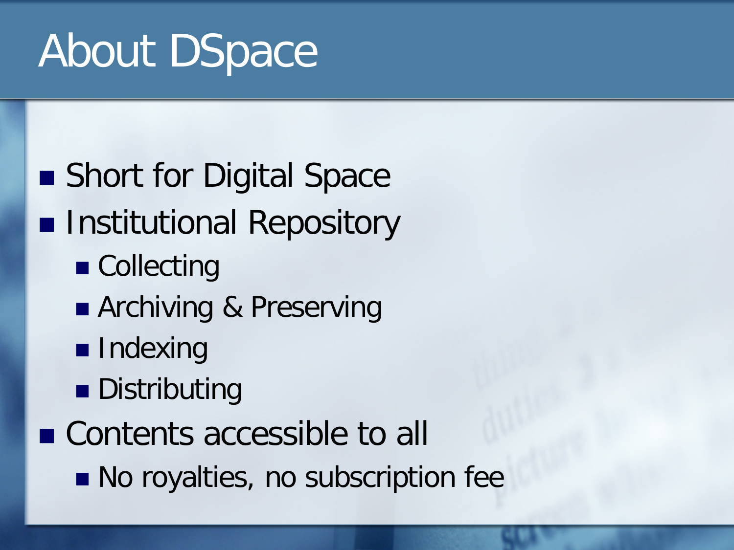# About DSpace

### ■ Short for Digital Space **Institutional Repository** ■ Collecting **Archiving & Preserving Indexing Distributing** ■ Contents accessible to all ■ No royalties, no subscription fee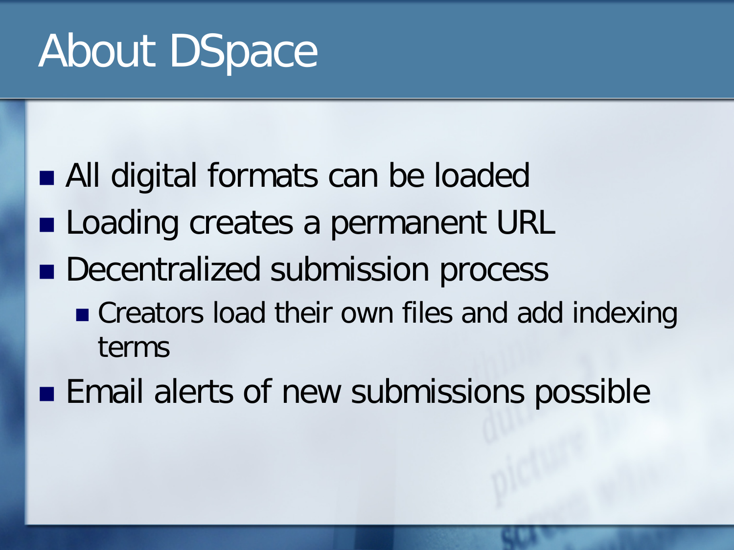# About DSpace

- All digital formats can be loaded
- **Loading creates a permanent URL**
- **Decentralized submission process** 
	- Creators load their own files and add indexing terms
- **Email alerts of new submissions possible**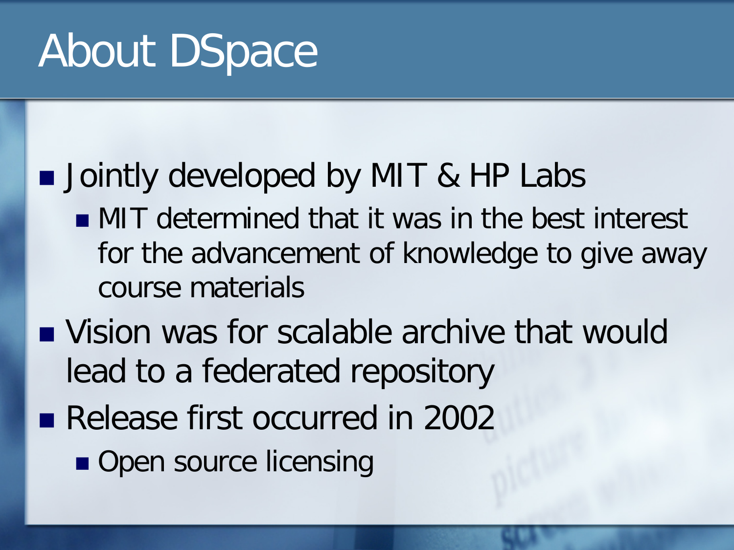# About DSpace

### **Jointly developed by MIT & HP Labs**

- **NIT determined that it was in the best interest** for the advancement of knowledge to give away course materials
- **Number 19 Vision was for scalable archive that would** lead to a federated repository
- Release first occurred in 2002
	- Open source licensing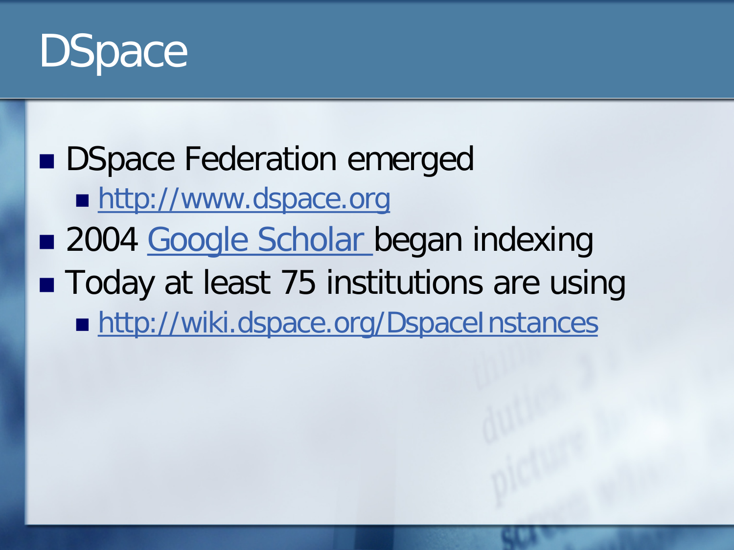

**DSpace Federation emerged** ■ [http://www.dspace.org](http://www.dspace.org/) ■ 2004 [Google Scholar b](http://www.google.com/)egan indexing ■ Today at least 75 institutions are using ■ <http://wiki.dspace.org/DspaceInstances>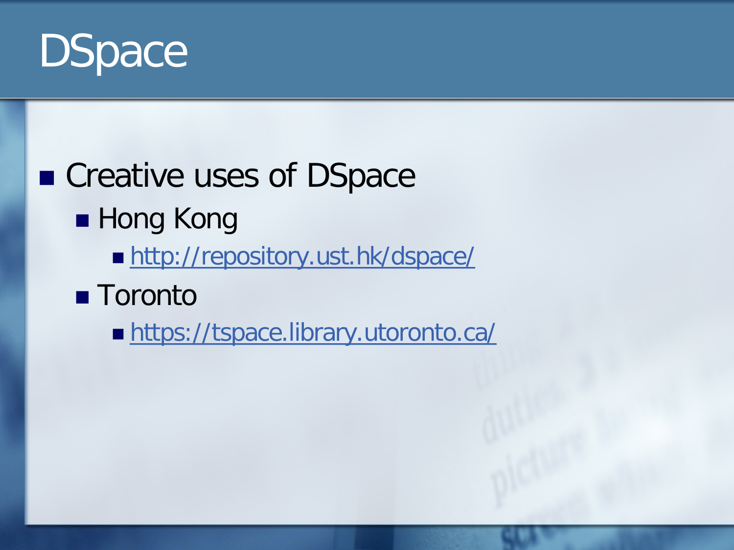

### ■ Creative uses of DSpace **Hong Kong** ■ <http://repository.ust.hk/dspace/> **Toronto** ■ <https://tspace.library.utoronto.ca/>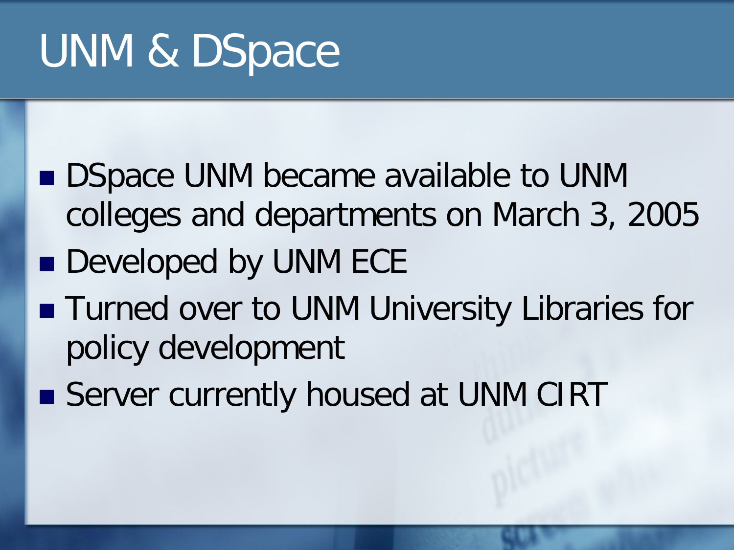# UNM & DSpace

- **DISpace UNM became available to UNM** colleges and departments on March 3, 2005
- **Developed by UNM ECE**
- **Turned over to UNM University Libraries for** policy development
- Server currently housed at UNM CIRT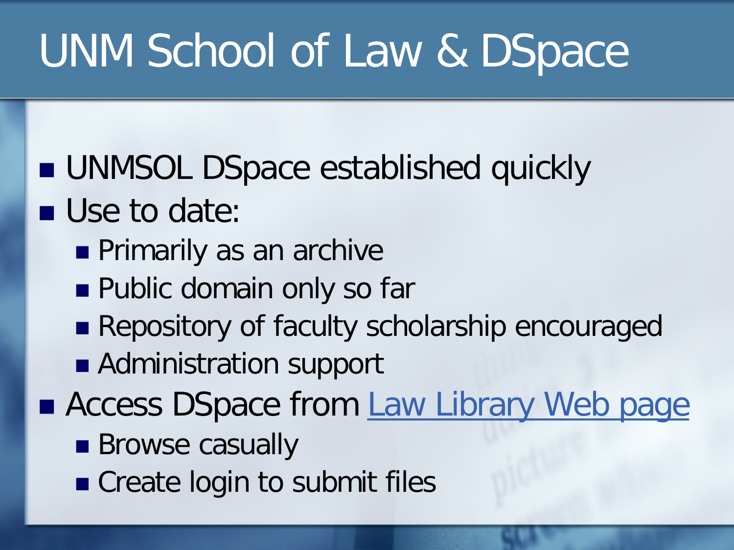# UNM School of Law & DSpace

- **UNMSOL DSpace established quickly** Use to date:
	- **Primarily as an archive**
	- **Public domain only so far**
	- Repository of faculty scholarship encouraged
	- Administration support
- **Access DSpace from [Law Library Web page](http://lawschool.unm.edu/lawlib/index.php)** 
	- **Browse casually**
	- **Create login to submit files**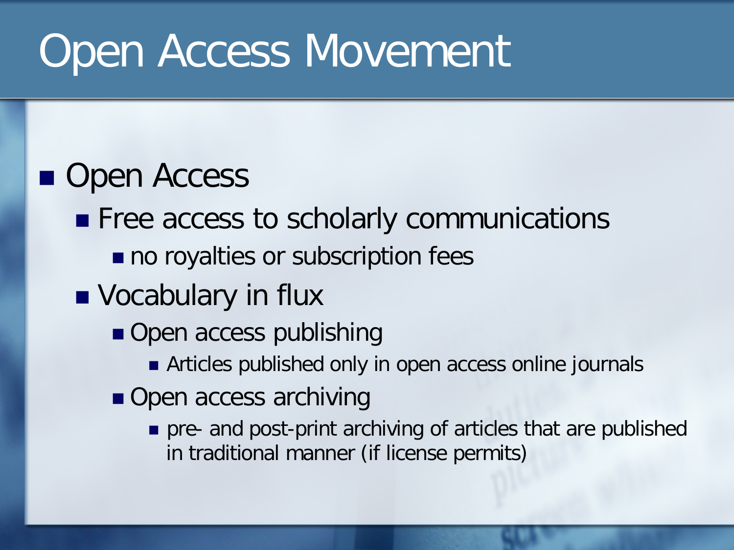### **Open Access**

- **Figure 2** Free access to scholarly communications
	- no royalties or subscription fees
- **Vocabulary in flux** 
	- Open access publishing
		- **EXTERGE Articles published only in open access online journals**
	- Open access archiving
		- pre- and post-print archiving of articles that are published in traditional manner (if license permits)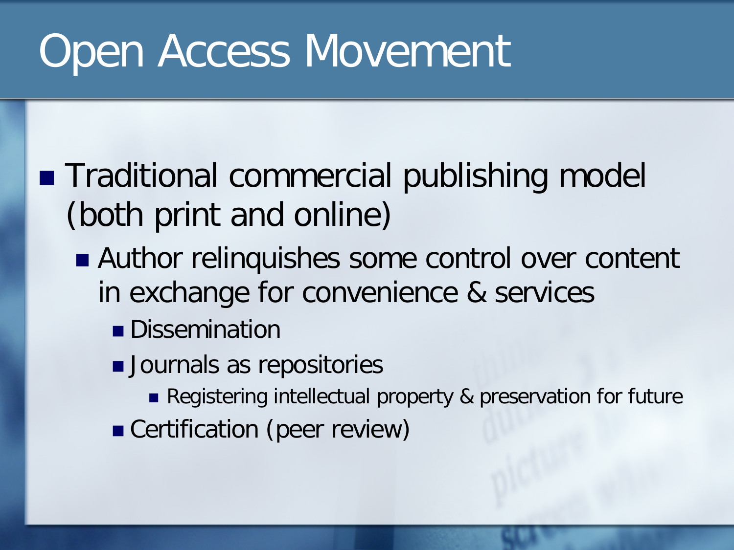- Traditional commercial publishing model (both print and online)
	- Author relinquishes some control over content in exchange for convenience & services
		- **Dissemination**
		- **Journals as repositories** 
			- Registering intellectual property & preservation for future
		- Certification (peer review)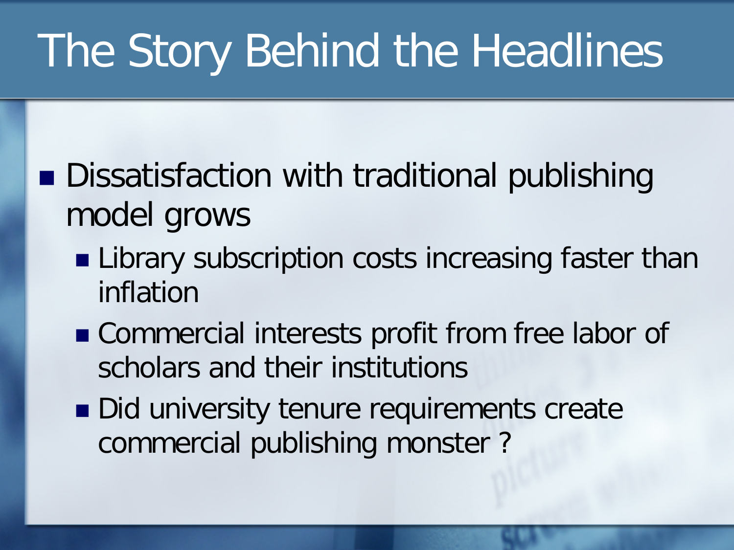# The Story Behind the Headlines

- Dissatisfaction with traditional publishing model grows
	- **Library subscription costs increasing faster than** inflation
	- **Commercial interests profit from free labor of** scholars and their institutions
	- Did university tenure requirements create commercial publishing monster ?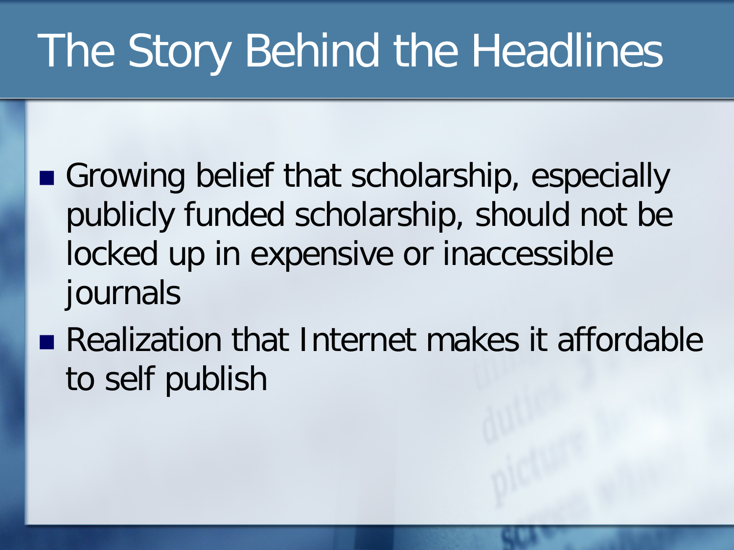# The Story Behind the Headlines

- Growing belief that scholarship, especially publicly funded scholarship, should not be locked up in expensive or inaccessible journals
- Realization that Internet makes it affordable to self publish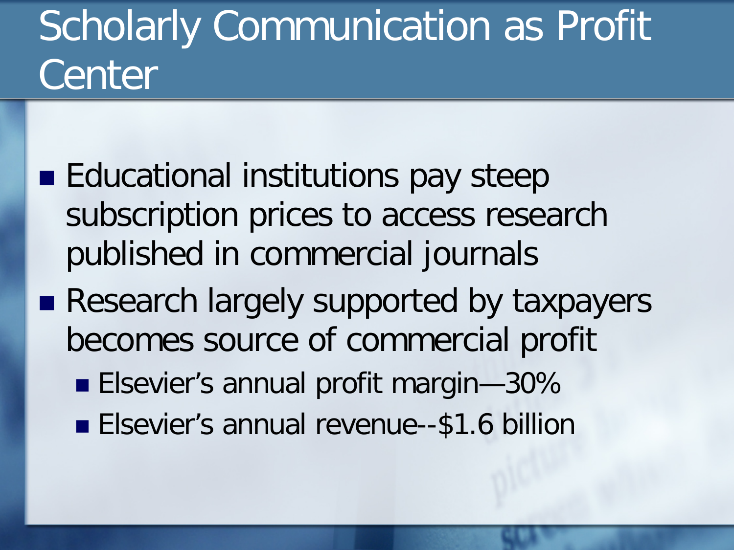# **Scholarly Communication as Profit** Center

- **Educational institutions pay steep** subscription prices to access research published in commercial journals
- **Research largely supported by taxpayers** becomes source of commercial profit
	- **Elsevier's annual profit margin-30%**
	- **Elsevier's annual revenue--\$1.6 billion**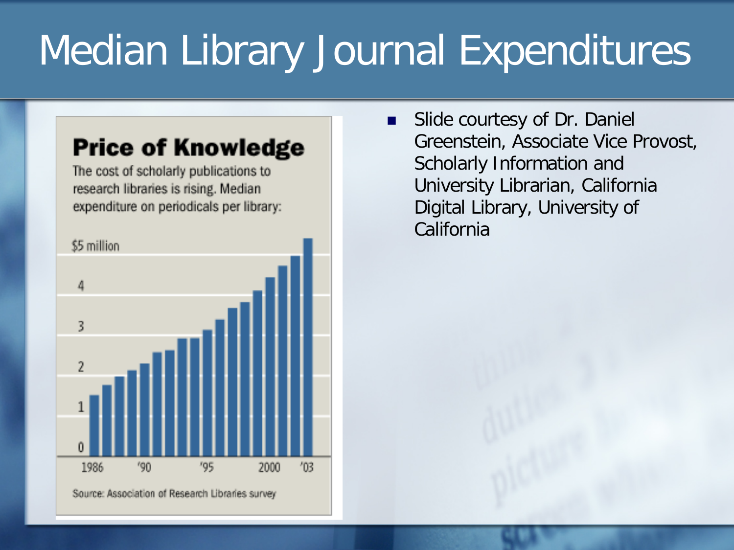# Median Library Journal Expenditures

#### **Price of Knowledge**

The cost of scholarly publications to research libraries is rising. Median expenditure on periodicals per library:



 Slide courtesy of Dr. Daniel Greenstein, Associate Vice Provost, Scholarly Information and University Librarian, California Digital Library, University of California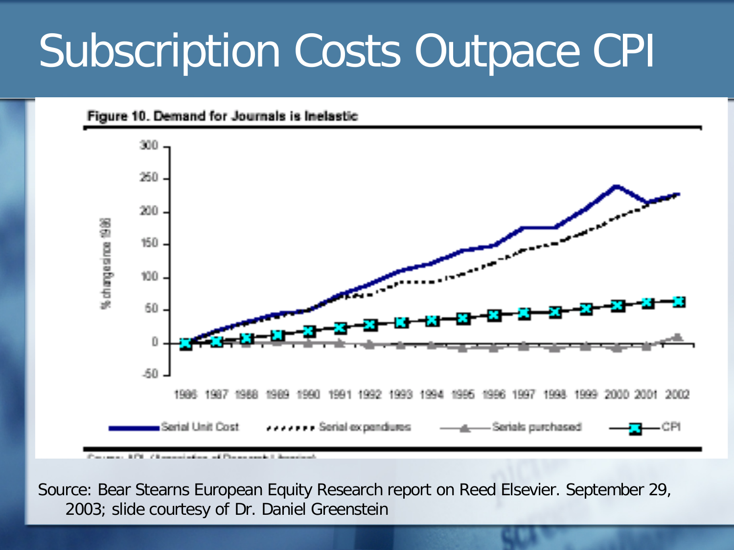# Subscription Costs Outpace CPI



Source: Bear Stearns European Equity Research report on Reed Elsevier. September 29, 2003; slide courtesy of Dr. Daniel Greenstein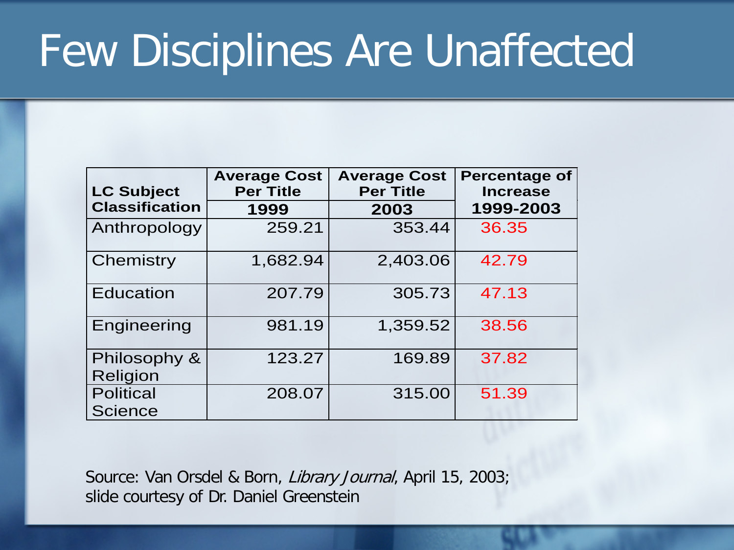# Few Disciplines Are Unaffected

| <b>LC Subject</b>                  | <b>Average Cost</b><br><b>Per Title</b> | <b>Average Cost</b><br><b>Per Title</b> | <b>Percentage of</b><br><b>Increase</b> |
|------------------------------------|-----------------------------------------|-----------------------------------------|-----------------------------------------|
| <b>Classification</b>              | 1999                                    | 2003                                    | 1999-2003                               |
| Anthropology                       | 259.21                                  | 353.44                                  | 36.35                                   |
| Chemistry                          | 1,682.94                                | 2,403.06                                | 42.79                                   |
| <b>Education</b>                   | 207.79                                  | 305.73                                  | 47.13                                   |
| Engineering                        | 981.19                                  | 1,359.52                                | 38.56                                   |
| Philosophy &<br>Religion           | 123.27                                  | 169.89                                  | 37.82                                   |
| <b>Political</b><br><b>Science</b> | 208.07                                  | 315.00                                  | 51.39                                   |

Source: Van Orsdel & Born, Library Journal, April 15, 2003; slide courtesy of Dr. Daniel Greenstein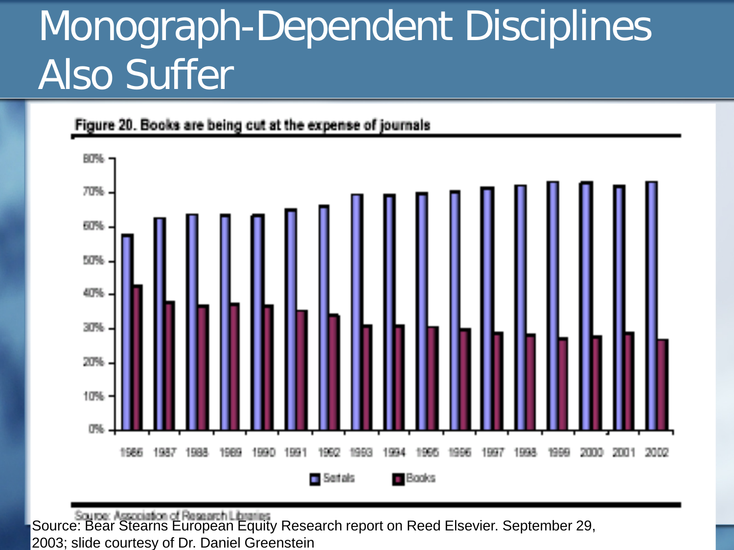# Monograph-Dependent Disciplines Also Suffer



Figure 20. Books are being cut at the expense of journals

Source: Bear Stearns European Equity Research report on Reed Elsevier. September 29, 2003; slide courtesy of Dr. Daniel Greenstein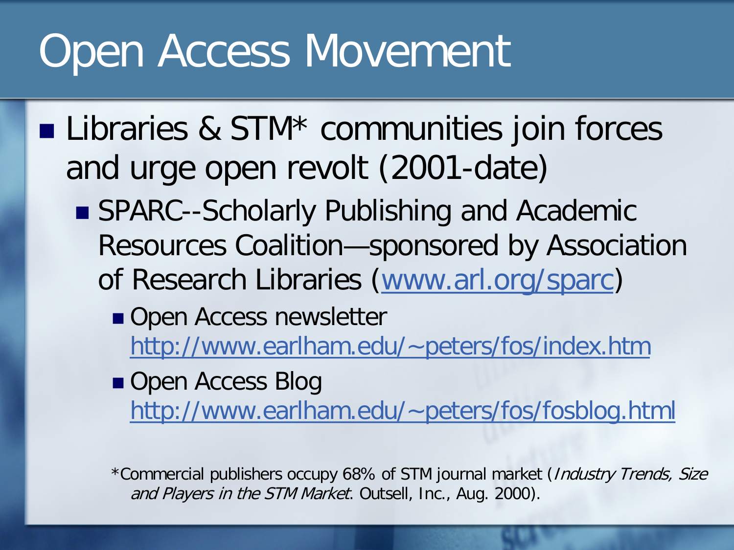- **Libraries & STM\* communities join forces** and urge open revolt (2001-date)
	- SPARC--Scholarly Publishing and Academic Resources Coalition—sponsored by Association of Research Libraries ([www.arl.org/sparc](http://www.arl.org/sparc))
		- Open Access newsletter [http://www.earlham.edu/~peters/fos/index.htm](http://www.earlham.edu/%7Epeters/fos/index.htm)

Open Access Blog [http://www.earlham.edu/~peters/fos/fosblog.html](http://www.earlham.edu/%7Epeters/fos/fosblog.html)

\*Commercial publishers occupy 68% of STM journal market (Industry Trends, Size and Players in the STM Market. Outsell, Inc., Aug. 2000).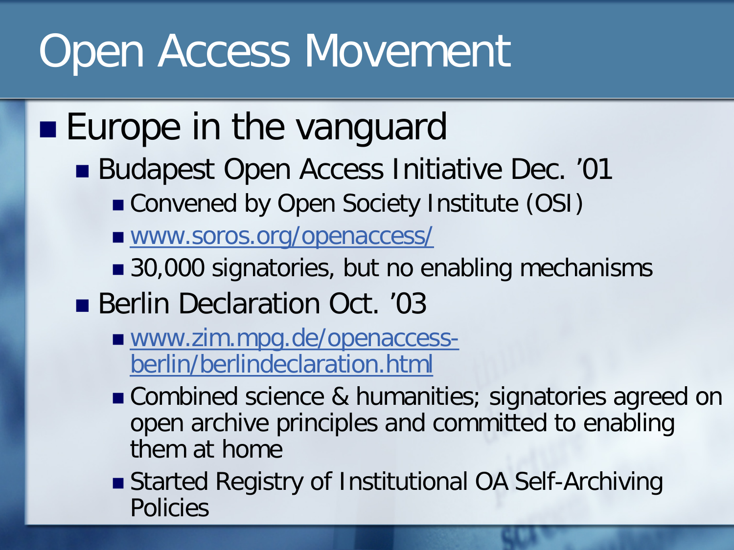### **Europe in the vanguard**

- Budapest Open Access Initiative Dec. '01
	- Convened by Open Society Institute (OSI)
	- [www.soros.org/openaccess/](http://www.soros.org/openaccess/)
	- 30,000 signatories, but no enabling mechanisms
- Berlin Declaration Oct. '03
	- [www.zim.mpg.de/openaccess](http://www.zim.mpg.de/openaccess-berlin/berlindeclaration.html)[berlin/berlindeclaration.html](http://www.zim.mpg.de/openaccess-berlin/berlindeclaration.html)
	- Combined science & humanities; signatories agreed on open archive principles and committed to enabling them at home
	- Started Registry of Institutional OA Self-Archiving Policies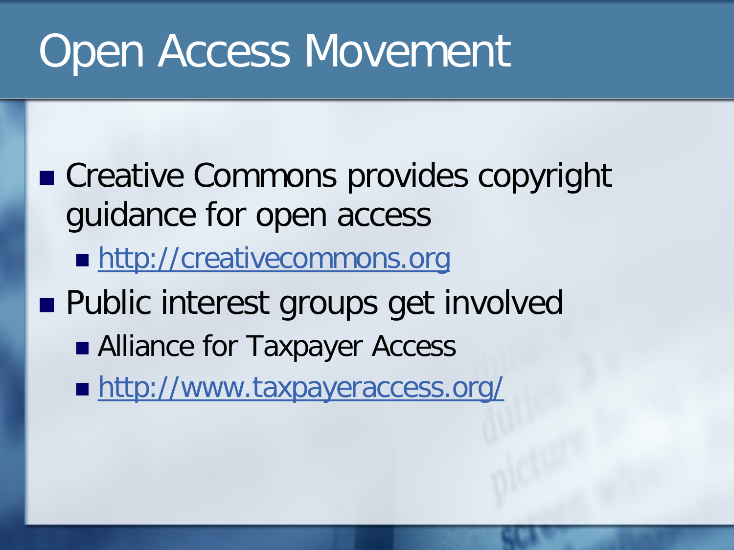- Creative Commons provides copyright guidance for open access
	- **[http://creativecommons.org](http://creativecommons.org/)**
- **Public interest groups get involved** 
	- Alliance for Taxpayer Access
	- **<http://www.taxpayeraccess.org/>**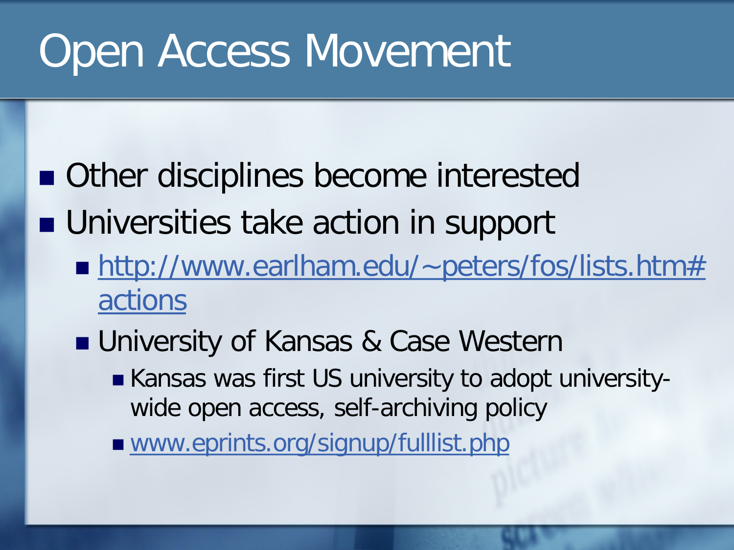- Other disciplines become interested
- **Universities take action in support** 
	- [http://www.earlham.edu/~peters/fos/lists.htm#](http://www.earlham.edu/%7Epeters/fos/lists.htm#actions) [actions](http://www.earlham.edu/%7Epeters/fos/lists.htm#actions)
	- University of Kansas & Case Western ■ Kansas was first US university to adopt universitywide open access, self-archiving policy
		- [www.eprints.org/signup/fulllist.php](http://www.eprints.org/signup/fulllist.php)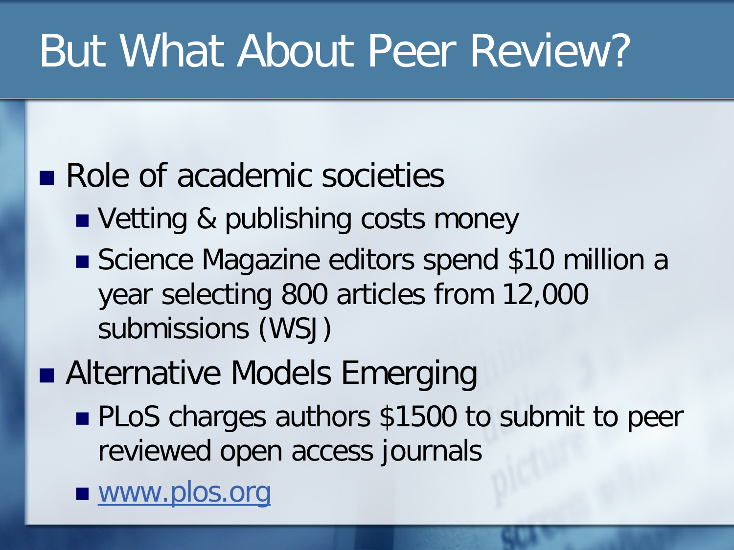# But What About Peer Review?

### Role of academic societies

- Vetting & publishing costs money
- Science Magazine editors spend \$10 million a year selecting 800 articles from 12,000 submissions (WSJ)
- Alternative Models Emerging
	- **PLoS** charges authors \$1500 to submit to peer reviewed open access journals

■ [www.plos.org](http://www.plos.org/)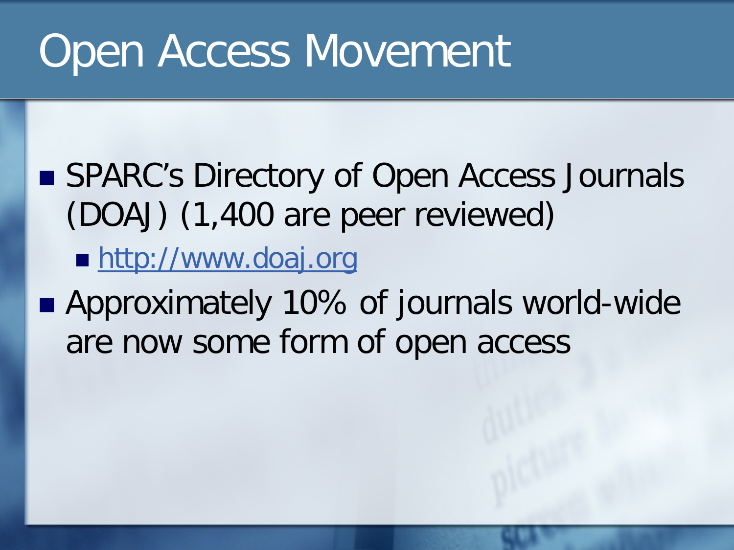### ■ SPARC's Directory of Open Access Journals (DOAJ) (1,400 are peer reviewed)

**[http://www.doaj.org](http://www.doaj.org/)** 

■ Approximately 10% of journals world-wide are now some form of open access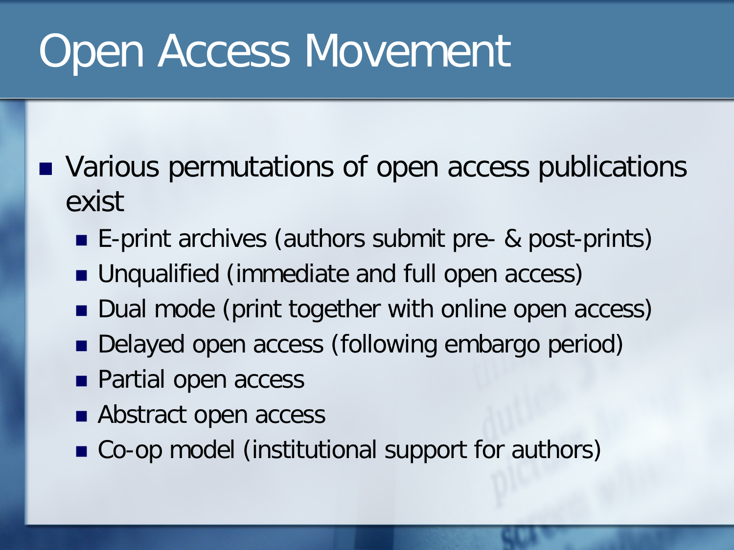- Various permutations of open access publications exist
	- E-print archives (authors submit pre- & post-prints)
	- Unqualified (immediate and full open access)
	- Dual mode (print together with online open access)
	- Delayed open access (following embargo period)
	- **Partial open access**
	- Abstract open access
	- Co-op model (institutional support for authors)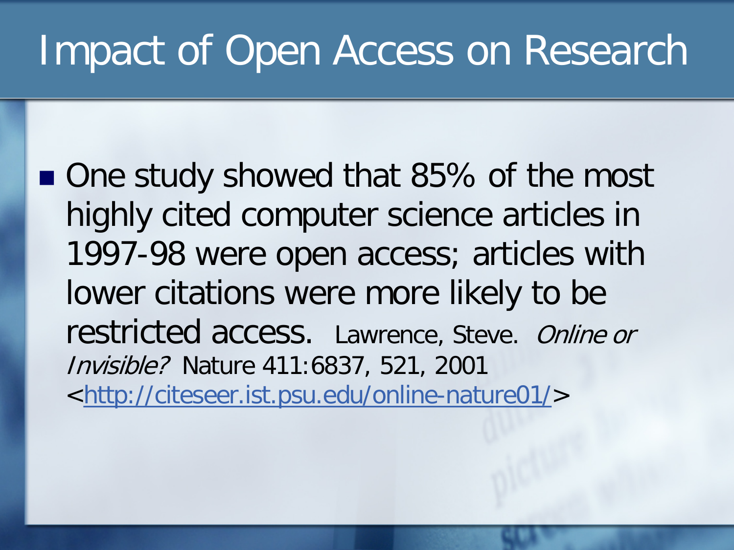### Impact of Open Access on Research

■ One study showed that 85% of the most highly cited computer science articles in 1997-98 were open access; articles with lower citations were more likely to be restricted access. Lawrence, Steve. Online or Invisible? Nature 411:6837, 521, 2001 <<http://citeseer.ist.psu.edu/online-nature01/>>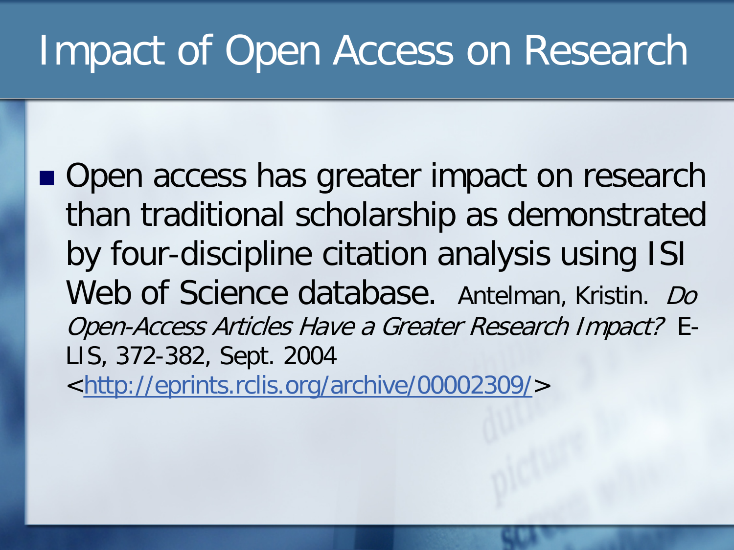## Impact of Open Access on Research

■ Open access has greater impact on research than traditional scholarship as demonstrated by four-discipline citation analysis using ISI Web of Science database. Antelman, Kristin. Do Open-Access Articles Have a Greater Research Impact? E-LIS, 372-382, Sept. 2004 <<http://eprints.rclis.org/archive/00002309/>>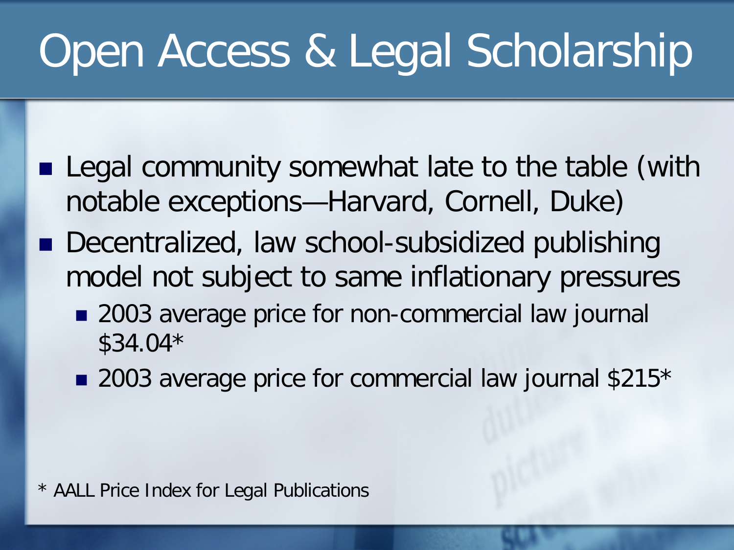- Legal community somewhat late to the table (with notable exceptions—Harvard, Cornell, Duke)
- Decentralized, law school-subsidized publishing model not subject to same inflationary pressures
	- 2003 average price for non-commercial law journal \$34.04\*
	- 2003 average price for commercial law journal \$215\*

\* AALL Price Index for Legal Publications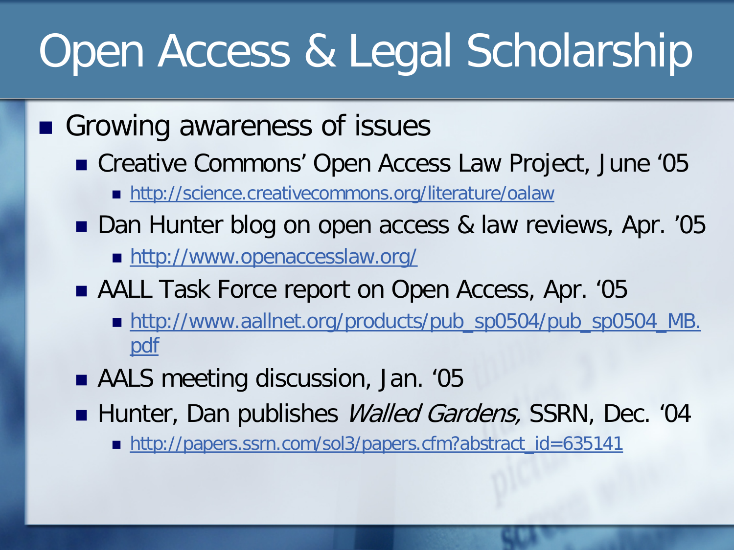- Growing awareness of issues
	- Creative Commons' Open Access Law Project, June '05
		- <http://science.creativecommons.org/literature/oalaw>
	- Dan Hunter blog on open access & law reviews, Apr. '05
		- <http://www.openaccesslaw.org/>
	- AALL Task Force report on Open Access, Apr. '05
		- [http://www.aallnet.org/products/pub\\_sp0504/pub\\_sp0504\\_MB.](http://www.aallnet.org/products/pub_sp0504/pub_sp0504_MB.pdf) [pdf](http://www.aallnet.org/products/pub_sp0504/pub_sp0504_MB.pdf)
	- AALS meeting discussion, Jan. '05
	- Hunter, Dan publishes *Walled Gardens*, SSRN, Dec. '04
		- [http://papers.ssrn.com/sol3/papers.cfm?abstract\\_id=635141](http://papers.ssrn.com/sol3/papers.cfm?abstract_id=635141)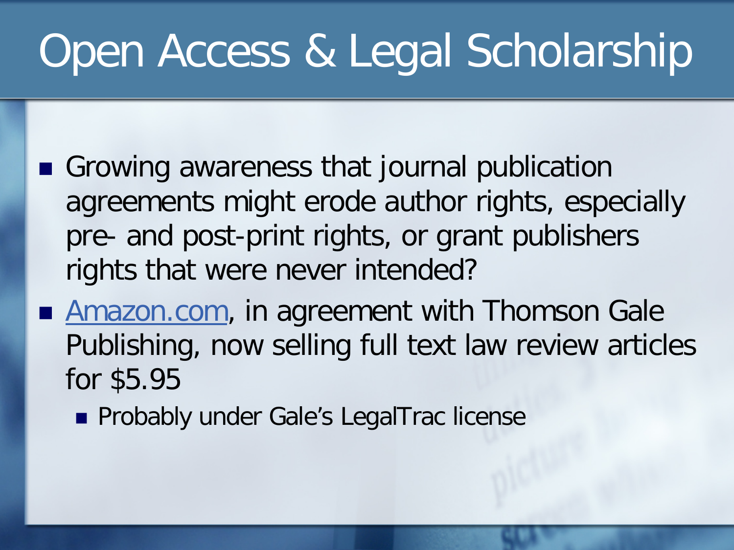- Growing awareness that journal publication agreements might erode author rights, especially pre- and post-print rights, or grant publishers rights that were never intended?
- **[Amazon.com,](http://amazon.com/) in agreement with Thomson Gale** Publishing, now selling full text law review articles for \$5.95
	- **Probably under Gale's LegalTrac license**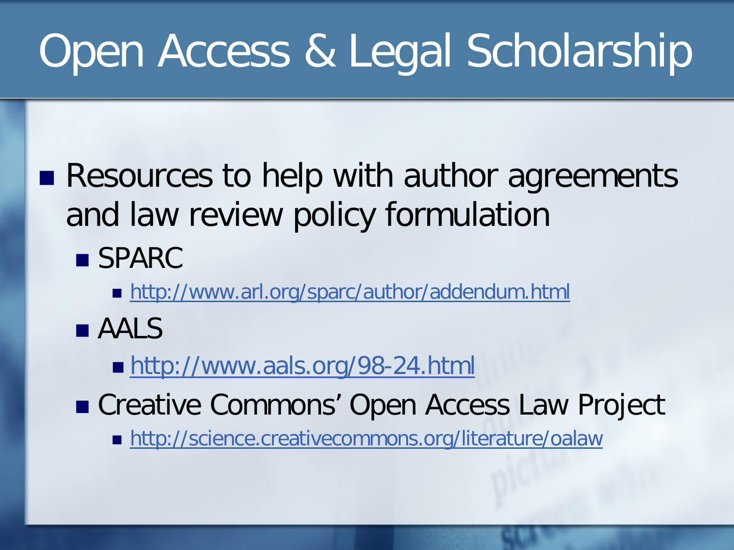**Resources to help with author agreements** and law review policy formulation

■ SPARC

■ <http://www.arl.org/sparc/author/addendum.html>

**AALS** 

■ <http://www.aals.org/98-24.html>

■ Creative Commons' Open Access Law Project

<http://science.creativecommons.org/literature/oalaw>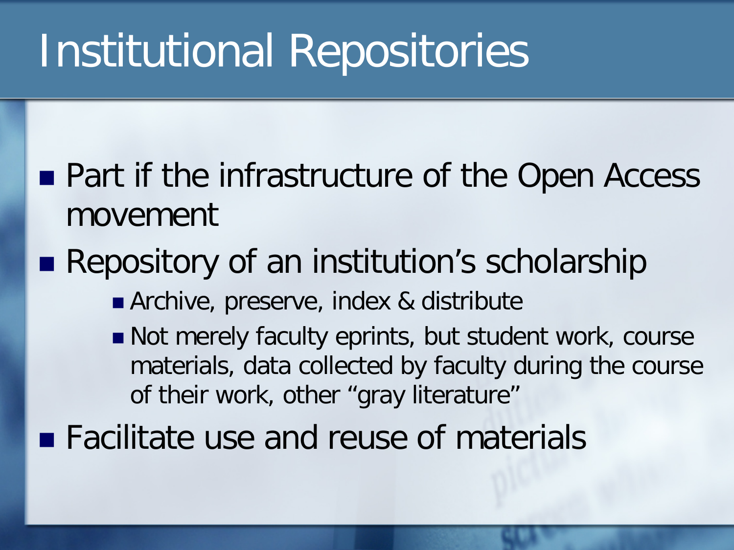# Institutional Repositories

- **Part if the infrastructure of the Open Access** movement
- **Repository of an institution's scholarship** 
	- Archive, preserve, index & distribute
	- Not merely faculty eprints, but student work, course materials, data collected by faculty during the course of their work, other "gray literature"
- Facilitate use and reuse of materials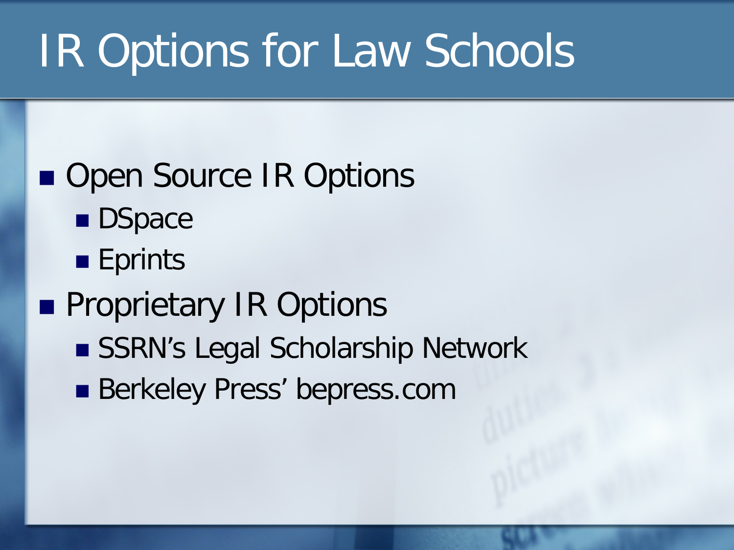# IR Options for Law Schools

## ■ Open Source IR Options

- **DSpace**
- **Eprints**

### **Proprietary IR Options**

- SSRN's Legal Scholarship Network
- **Berkeley Press' bepress.com**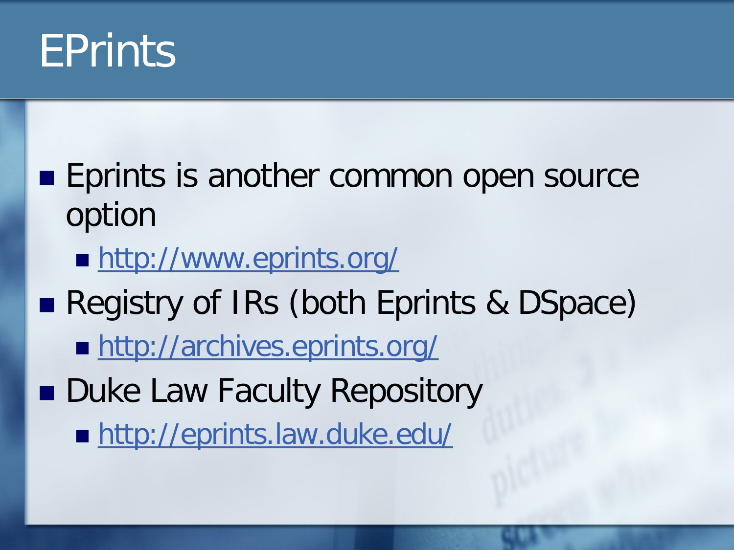

### **Eprints is another common open source** option

- **<http://www.eprints.org/>**
- Registry of IRs (both Eprints & DSpace)
	- <http://archives.eprints.org/>
- **Duke Law Faculty Repository** 
	- <http://eprints.law.duke.edu/>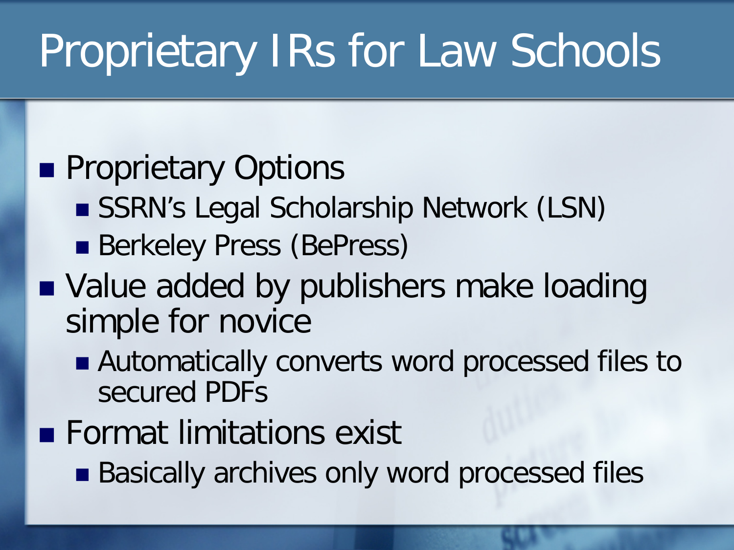# Proprietary IRs for Law Schools

### **Proprietary Options**

- SSRN's Legal Scholarship Network (LSN)
- **Berkeley Press (BePress)**

### ■ Value added by publishers make loading simple for novice

- Automatically converts word processed files to secured PDFs
- **Format limitations exist** 
	- Basically archives only word processed files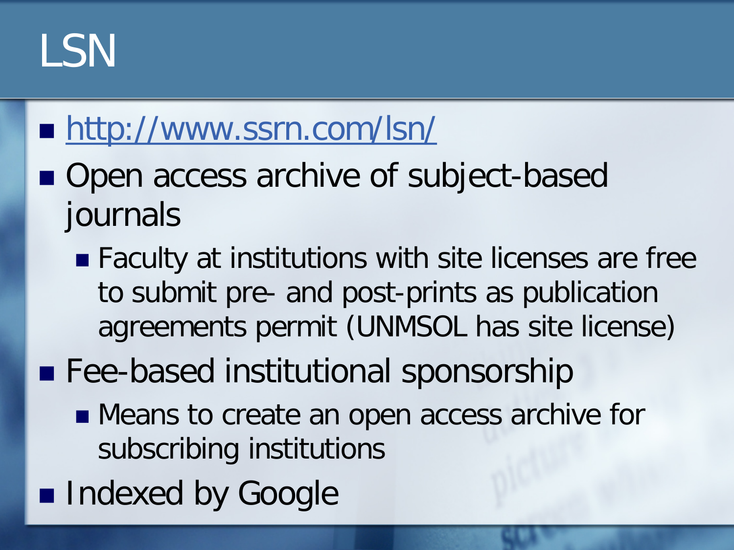# LSN

### ■ <http://www.ssrn.com/lsn/>

- Open access archive of subject-based journals
	- Faculty at institutions with site licenses are free to submit pre- and post-prints as publication agreements permit (UNMSOL has site license)
- **Fee-based institutional sponsorship** 
	- **Means to create an open access archive for** subscribing institutions
- Indexed by Google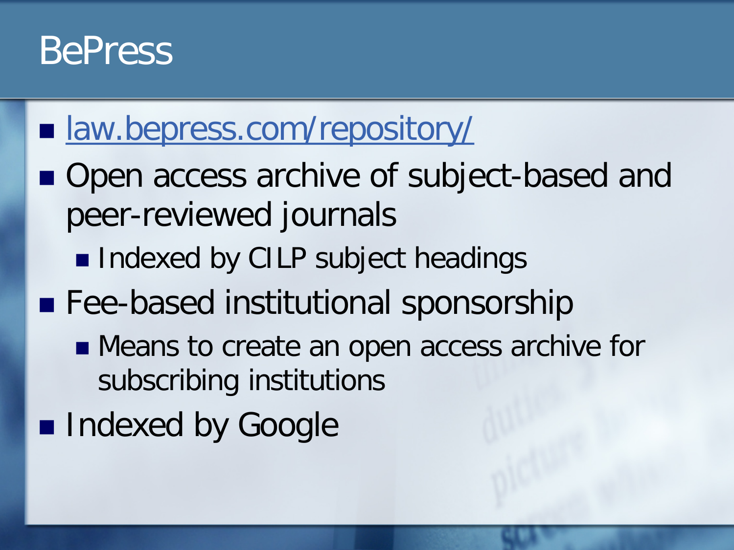### BePress

### **I** [law.bepress.com/repository/](http://law.bepress.com/repository/)

- Open access archive of subject-based and peer-reviewed journals
	- **Indexed by CILP subject headings**
- **Fee-based institutional sponsorship** 
	- **Means to create an open access archive for** subscribing institutions
- **Indexed by Google**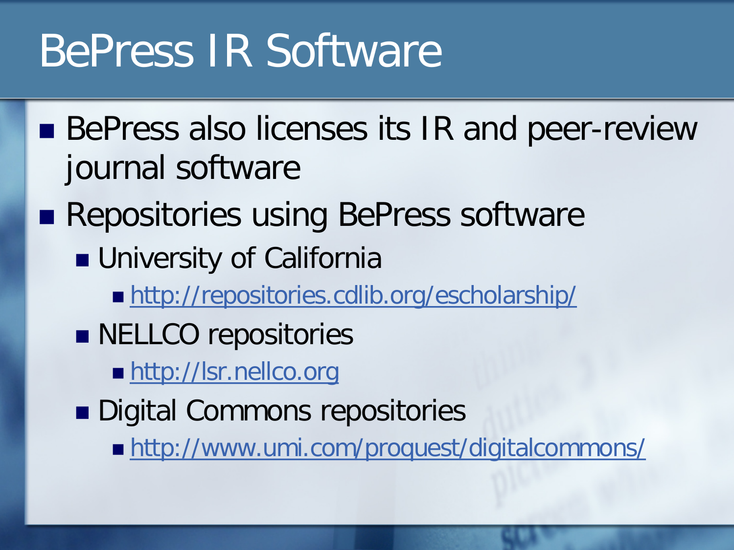# BePress IR Software

- BePress also licenses its IR and peer-review journal software
- **Repositories using BePress software** 
	- **University of California** 
		- <http://repositories.cdlib.org/escholarship/>
	- **NELLCO** repositories
		- **[http://lsr.nellco.org](http://lsr.nellco.org/)**
	- Digital Commons repositories
		- <http://www.umi.com/proquest/digitalcommons/>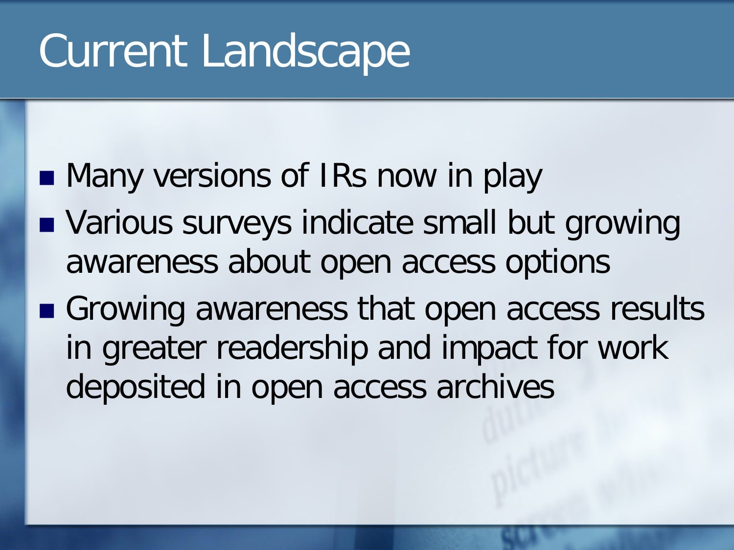# Current Landscape

- **Nany versions of IRs now in play**
- **Narious surveys indicate small but growing** awareness about open access options
- Growing awareness that open access results in greater readership and impact for work deposited in open access archives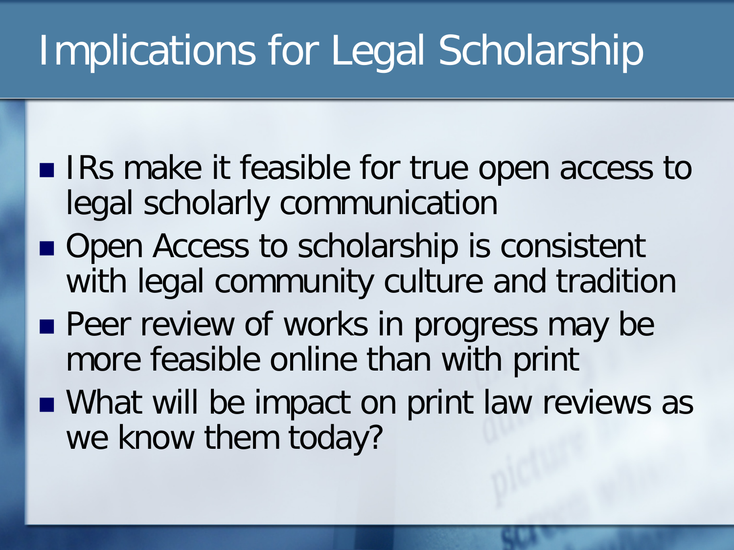# Implications for Legal Scholarship

- IRs make it feasible for true open access to legal scholarly communication
- Open Access to scholarship is consistent with legal community culture and tradition
- **Peer review of works in progress may be** more feasible online than with print
- What will be impact on print law reviews as we know them today?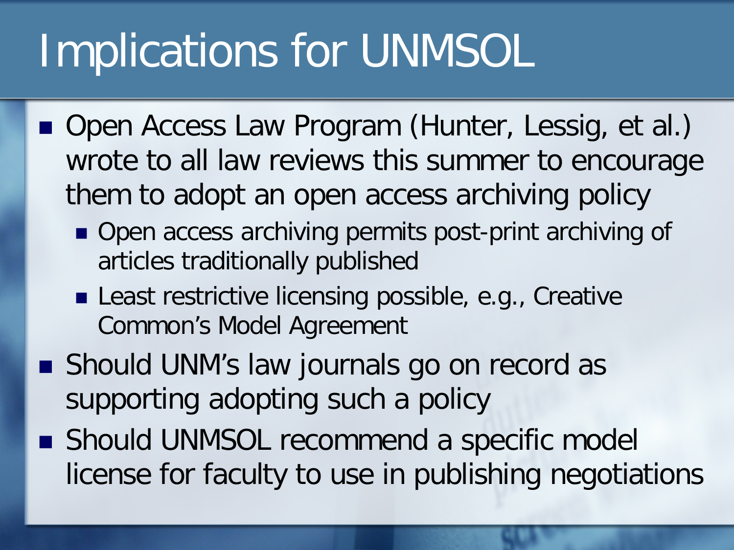# Implications for UNMSOL

- Open Access Law Program (Hunter, Lessig, et al.) wrote to all law reviews this summer to encourage them to adopt an open access archiving policy
	- Open access archiving permits post-print archiving of articles traditionally published
	- Least restrictive licensing possible, e.g., Creative Common's Model Agreement
- **Should UNM's law journals go on record as** supporting adopting such a policy
- Should UNMSOL recommend a specific model license for faculty to use in publishing negotiations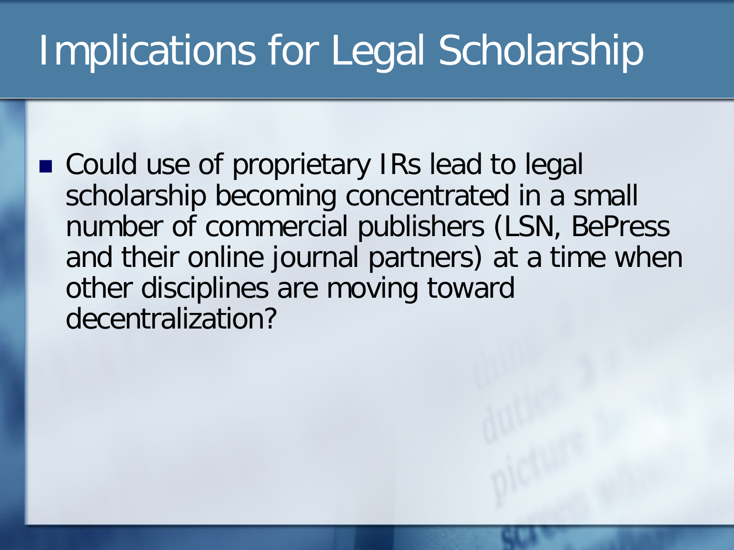# Implications for Legal Scholarship

■ Could use of proprietary IRs lead to legal scholarship becoming concentrated in a small number of commercial publishers (LSN, BePress and their online journal partners) at a time when other disciplines are moving toward decentralization?